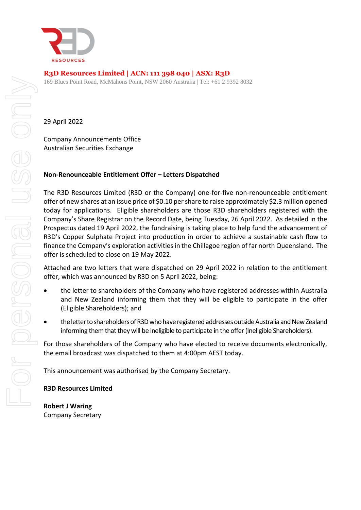

# **R3D Resources Limited | ACN: 111 398 040 | ASX: R3D**

169 Blues Point Road, McMahons Point, NSW 2060 Australia | Tel: +61 2 9392 8032

29 April 2022

Company Announcements Office Australian Securities Exchange

### **Non-Renounceable Entitlement Offer – Letters Dispatched**

The R3D Resources Limited (R3D or the Company) one-for-five non-renounceable entitlement offer of new shares at an issue price of \$0.10 per share to raise approximately \$2.3 million opened today for applications. Eligible shareholders are those R3D shareholders registered with the Company's Share Registrar on the Record Date, being Tuesday, 26 April 2022. As detailed in the Prospectus dated 19 April 2022, the fundraising is taking place to help fund the advancement of R3D's Copper Sulphate Project into production in order to achieve a sustainable cash flow to finance the Company's exploration activities in the Chillagoe region of far north Queensland. The offer is scheduled to close on 19 May 2022.

Attached are two letters that were dispatched on 29 April 2022 in relation to the entitlement offer, which was announced by R3D on 5 April 2022, being:

- the letter to shareholders of the Company who have registered addresses within Australia and New Zealand informing them that they will be eligible to participate in the offer (Eligible Shareholders); and
- the letter to shareholders of R3D who have registered addresses outside Australia and New Zealand informing them that they will be ineligible to participate in the offer (Ineligible Shareholders).

For those shareholders of the Company who have elected to receive documents electronically, the email broadcast was dispatched to them at 4:00pm AEST today.

This announcement was authorised by the Company Secretary.

### **R3D Resources Limited**

**Robert J Waring** Company Secretary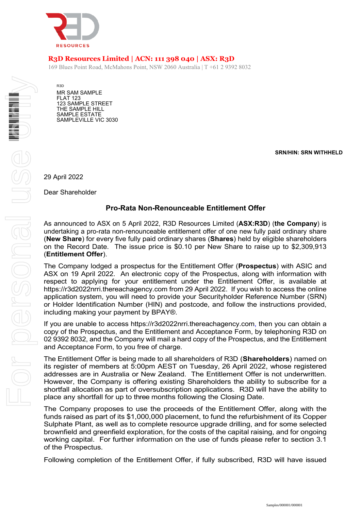

# **R3D Resources Limited | ACN: 111 398 040 | ASX: R3D**

169 Blues Point Road, McMahons Point, NSW 2060 Australia | T +61 2 9392 8032

R3D MR SAM SAMPLE FLAT 123 123 SAMPLE STREET THE SAMPLE HILL SAMPLE ESTATE SAMPLEVILLE VIC 3030

**SRN/HIN: SRN WITHHELD**

29 April 2022

Dear Shareholder

### **Pro-Rata Non-Renounceable Entitlement Offer**

As announced to ASX on 5 April 2022, R3D Resources Limited (**ASX:R3D**) (**the Company**) is undertaking a pro-rata non-renounceable entitlement offer of one new fully paid ordinary share (**New Share**) for every five fully paid ordinary shares (**Shares**) held by eligible shareholders on the Record Date. The issue price is \$0.10 per New Share to raise up to \$2,309,913 (**Entitlement Offer**).

The Company lodged a prospectus for the Entitlement Offer (**Prospectus**) with ASIC and ASX on 19 April 2022. An electronic copy of the Prospectus, along with information with respect to applying for your entitlement under the Entitlement Offer, is available at https://r3d2022nrri.thereachagency.com from 29 April 2022. If you wish to access the online application system, you will need to provide your Securityholder Reference Number (SRN) or Holder Identification Number (HIN) and postcode, and follow the instructions provided, including making your payment by BPAY®.

If you are unable to access https://r3d2022nrri.thereachagency.com, then you can obtain a copy of the Prospectus, and the Entitlement and Acceptance Form, by telephoning R3D on 02 9392 8032, and the Company will mail a hard copy of the Prospectus, and the Entitlement and Acceptance Form, to you free of charge.

The Entitlement Offer is being made to all shareholders of R3D (**Shareholders**) named on its register of members at 5:00pm AEST on Tuesday, 26 April 2022, whose registered addresses are in Australia or New Zealand. The Entitlement Offer is not underwritten. However, the Company is offering existing Shareholders the ability to subscribe for a shortfall allocation as part of oversubscription applications. R3D will have the ability to place any shortfall for up to three months following the Closing Date.

The Company proposes to use the proceeds of the Entitlement Offer, along with the funds raised as part of its \$1,000,000 placement, to fund the refurbishment of its Copper Sulphate Plant, as well as to complete resource upgrade drilling, and for some selected brownfield and greenfield exploration, for the costs of the capital raising, and for ongoing working capital. For further information on the use of funds please refer to section 3.1 of the Prospectus.

Following completion of the Entitlement Offer, if fully subscribed, R3D will have issued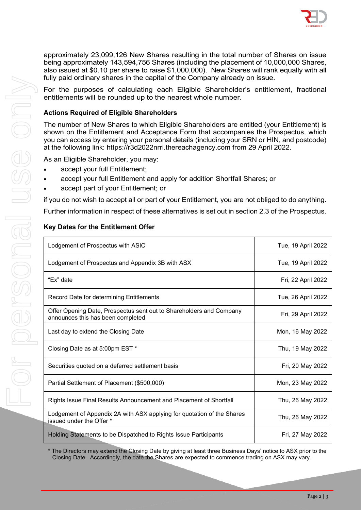

approximately 23,099,126 New Shares resulting in the total number of Shares on issue being approximately 143,594,756 Shares (including the placement of 10,000,000 Shares, also issued at \$0.10 per share to raise \$1,000,000). New Shares will rank equally with all fully paid ordinary shares in the capital of the Company already on issue.

For the purposes of calculating each Eligible Shareholder's entitlement, fractional entitlements will be rounded up to the nearest whole number.

### **Actions Required of Eligible Shareholders**

The number of New Shares to which Eligible Shareholders are entitled (your Entitlement) is shown on the Entitlement and Acceptance Form that accompanies the Prospectus, which you can access by entering your personal details (including your SRN or HIN, and postcode) at the following link: https://r3d2022nrri.thereachagency.com from 29 April 2022.

As an Eligible Shareholder, you may:

- accept your full Entitlement;
- accept your full Entitlement and apply for addition Shortfall Shares; or
- accept part of your Entitlement; or

if you do not wish to accept all or part of your Entitlement, you are not obliged to do anything.

Further information in respect of these alternatives is set out in section 2.3 of the Prospectus.

### **Key Dates for the Entitlement Offer**

| Lodgement of Prospectus with ASIC                                                                        | Tue, 19 April 2022 |
|----------------------------------------------------------------------------------------------------------|--------------------|
| Lodgement of Prospectus and Appendix 3B with ASX                                                         | Tue, 19 April 2022 |
| "Ex" date                                                                                                | Fri, 22 April 2022 |
| Record Date for determining Entitlements                                                                 | Tue, 26 April 2022 |
| Offer Opening Date, Prospectus sent out to Shareholders and Company<br>announces this has been completed | Fri, 29 April 2022 |
| Last day to extend the Closing Date                                                                      | Mon, 16 May 2022   |
| Closing Date as at 5:00pm EST *                                                                          | Thu, 19 May 2022   |
| Securities quoted on a deferred settlement basis                                                         | Fri, 20 May 2022   |
| Partial Settlement of Placement (\$500,000)                                                              | Mon, 23 May 2022   |
| Rights Issue Final Results Announcement and Placement of Shortfall                                       | Thu, 26 May 2022   |
| Lodgement of Appendix 2A with ASX applying for quotation of the Shares<br>issued under the Offer *       | Thu, 26 May 2022   |
| Holding Statements to be Dispatched to Rights Issue Participants                                         | Fri, 27 May 2022   |

\* The Directors may extend the Closing Date by giving at least three Business Days' notice to ASX prior to the Closing Date. Accordingly, the date the Shares are expected to commence trading on ASX may vary.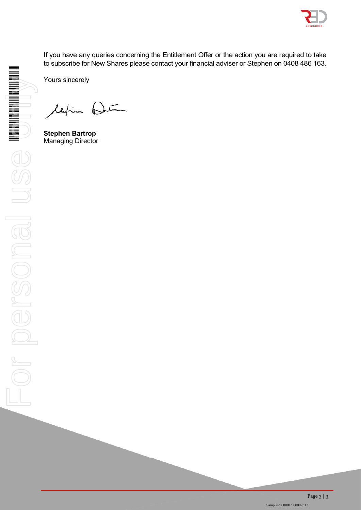

If you have any queries concerning the Entitlement Offer or the action you are required to take to subscribe for New Shares please contact your financial adviser or Stephen on 0408 486 163.

Yours sincerely

leghten Deter

**Stephen Bartrop**  Managing Director

HELEN WARD WARD TO A REAL PROPERTY OF THE WARD TO A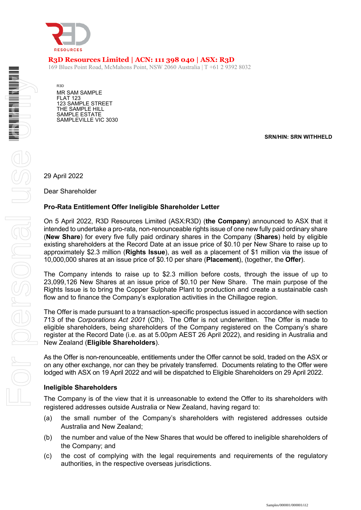

## **R3D Resources Limited | ACN: 111 398 040 | ASX: R3D**

169 Blues Point Road, McMahons Point, NSW 2060 Australia | T +61 2 9392 8032

R3D MR SAM SAMPLE FLAT 123 123 SAMPLE STREET THE SAMPLE HILL SAMPLE ESTATE SAMPLEVILLE VIC 3030

**SRN/HIN: SRN WITHHELD**

29 April 2022

Dear Shareholder

#### **Pro-Rata Entitlement Offer Ineligible Shareholder Letter**

On 5 April 2022, R3D Resources Limited (ASX:R3D) (**the Company**) announced to ASX that it intended to undertake a pro-rata, non-renounceable rights issue of one new fully paid ordinary share (**New Share**) for every five fully paid ordinary shares in the Company (**Shares**) held by eligible existing shareholders at the Record Date at an issue price of \$0.10 per New Share to raise up to approximately \$2.3 million (**Rights Issue**), as well as a placement of \$1 million via the issue of 10,000,000 shares at an issue price of \$0.10 per share (**Placement**), (together, the **Offer**).

The Company intends to raise up to \$2.3 million before costs, through the issue of up to 23,099,126 New Shares at an issue price of \$0.10 per New Share. The main purpose of the Rights Issue is to bring the Copper Sulphate Plant to production and create a sustainable cash flow and to finance the Company's exploration activities in the Chillagoe region.

The Offer is made pursuant to a transaction-specific prospectus issued in accordance with section 713 of the *Corporations Act 2001* (Cth). The Offer is not underwritten. The Offer is made to eligible shareholders, being shareholders of the Company registered on the Company's share register at the Record Date (i.e. as at 5.00pm AEST 26 April 2022), and residing in Australia and New Zealand (**Eligible Shareholders**).

As the Offer is non-renounceable, entitlements under the Offer cannot be sold, traded on the ASX or on any other exchange, nor can they be privately transferred. Documents relating to the Offer were lodged with ASX on 19 April 2022 and will be dispatched to Eligible Shareholders on 29 April 2022.

#### **Ineligible Shareholders**

The Company is of the view that it is unreasonable to extend the Offer to its shareholders with registered addresses outside Australia or New Zealand, having regard to:

- (a) the small number of the Company's shareholders with registered addresses outside Australia and New Zealand;
- (b) the number and value of the New Shares that would be offered to ineligible shareholders of the Company; and
- (c) the cost of complying with the legal requirements and requirements of the regulatory authorities, in the respective overseas jurisdictions.